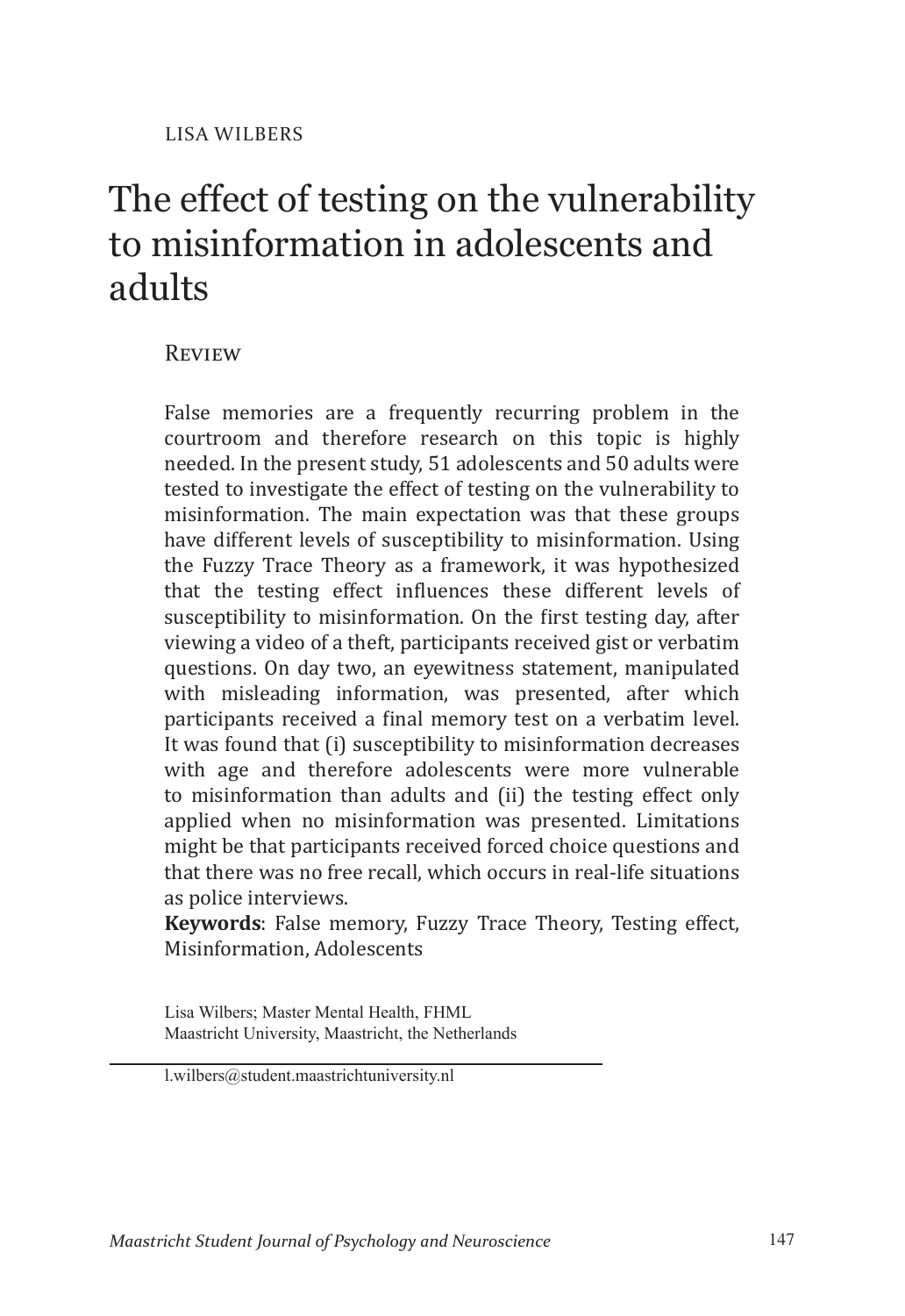# The effect of testing on the vulnerability to misinformation in adolescents and adults

## **REVIEW**

False memories are a frequently recurring problem in the courtroom and therefore research on this topic is highly needed. In the present study, 51 adolescents and 50 adults were tested to investigate the effect of testing on the vulnerability to misinformation. The main expectation was that these groups have different levels of susceptibility to misinformation. Using the Fuzzy Trace Theory as a framework, it was hypothesized that the testing effect influences these different levels of susceptibility to misinformation. On the first testing day, after viewing a video of a theft, participants received gist or verbatim questions. On day two, an eyewitness statement, manipulated with misleading information, was presented, after which participants received a final memory test on a verbatim level. It was found that (i) susceptibility to misinformation decreases with age and therefore adolescents were more vulnerable to misinformation than adults and (ii) the testing effect only applied when no misinformation was presented. Limitations might be that participants received forced choice questions and that there was no free recall, which occurs in real-life situations as police interviews.

**Keywords**: False memory, Fuzzy Trace Theory, Testing effect, Misinformation, Adolescents

Lisa Wilbers; Master Mental Health, FHML Maastricht University, Maastricht, the Netherlands

l.wilbers@student.maastrichtuniversity.nl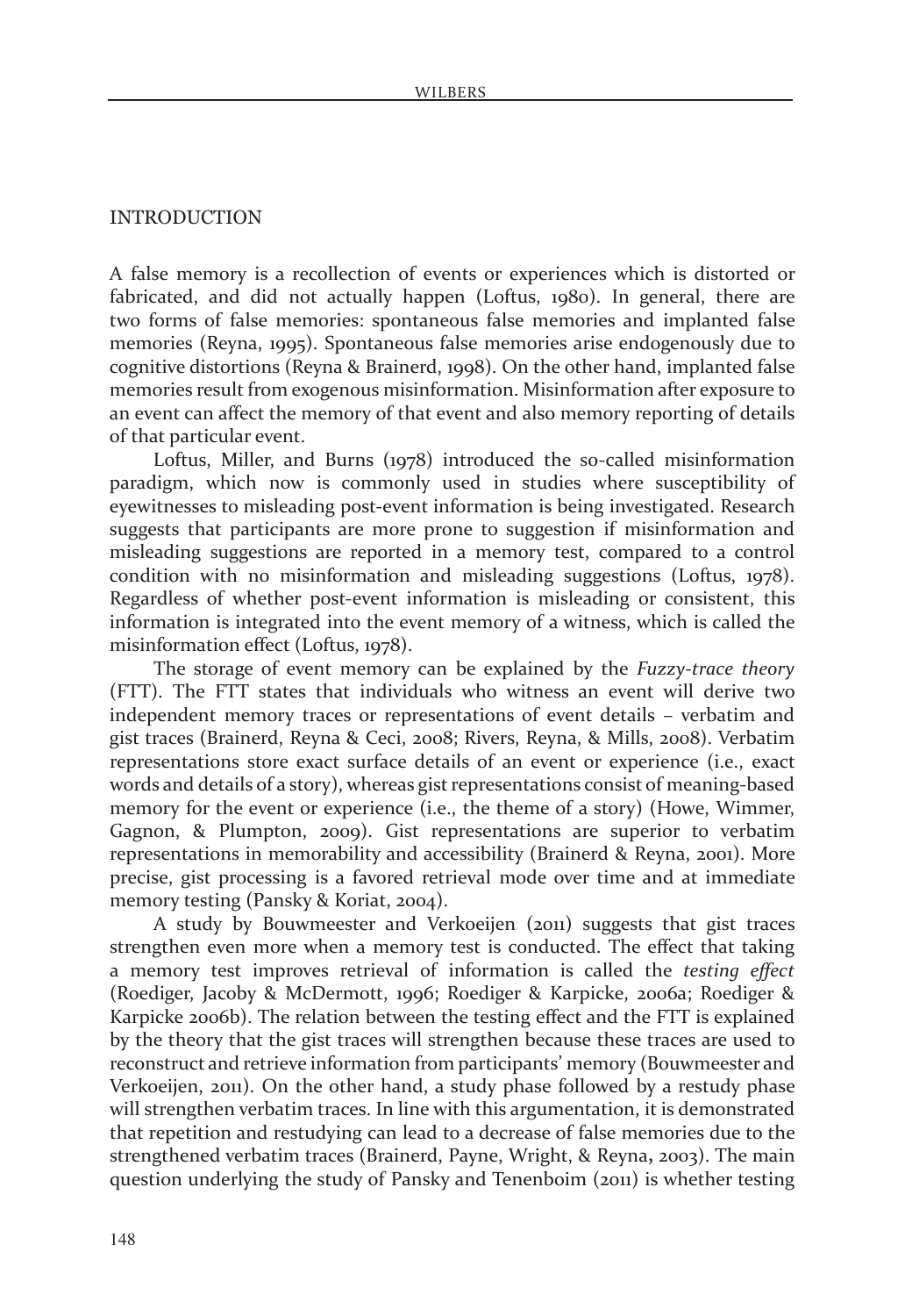#### **INTRODUCTION**

A false memory is a recollection of events or experiences which is distorted or fabricated, and did not actually happen (Loftus, 1980). In general, there are two forms of false memories: spontaneous false memories and implanted false memories (Reyna, 1995). Spontaneous false memories arise endogenously due to cognitive distortions (Reyna & Brainerd, 1998). On the other hand, implanted false memories result from exogenous misinformation. Misinformation after exposure to an event can affect the memory of that event and also memory reporting of details of that particular event.

Loftus, Miller, and Burns (1978) introduced the so-called misinformation paradigm, which now is commonly used in studies where susceptibility of eyewitnesses to misleading post-event information is being investigated. Research suggests that participants are more prone to suggestion if misinformation and misleading suggestions are reported in a memory test, compared to a control condition with no misinformation and misleading suggestions (Loftus, 1978). Regardless of whether post-event information is misleading or consistent, this information is integrated into the event memory of a witness, which is called the misinformation effect (Loftus, 1978).

The storage of event memory can be explained by the *Fuzzy-trace theory* (FTT). The FTT states that individuals who witness an event will derive two independent memory traces or representations of event details – verbatim and gist traces (Brainerd, Reyna & Ceci, 2008; Rivers, Reyna, & Mills, 2008). Verbatim representations store exact surface details of an event or experience (i.e., exact words and details of a story), whereas gist representations consist of meaning-based memory for the event or experience (i.e., the theme of a story) (Howe, Wimmer, Gagnon, & Plumpton, 2009). Gist representations are superior to verbatim representations in memorability and accessibility (Brainerd & Reyna, 2001). More precise, gist processing is a favored retrieval mode over time and at immediate memory testing (Pansky & Koriat, 2004).

A study by Bouwmeester and Verkoeijen (2011) suggests that gist traces strengthen even more when a memory test is conducted. The effect that taking a memory test improves retrieval of information is called the *testing effect* (Roediger, Jacoby & McDermott, 1996; Roediger & Karpicke, 2006a; Roediger & Karpicke 2006b). The relation between the testing effect and the FTT is explained by the theory that the gist traces will strengthen because these traces are used to reconstruct and retrieve information from participants' memory (Bouwmeester and Verkoeijen, 2011). On the other hand, a study phase followed by a restudy phase will strengthen verbatim traces. In line with this argumentation, it is demonstrated that repetition and restudying can lead to a decrease of false memories due to the strengthened verbatim traces (Brainerd, Payne, Wright, & Reyna**,** 2003). The main question underlying the study of Pansky and Tenenboim (2011) is whether testing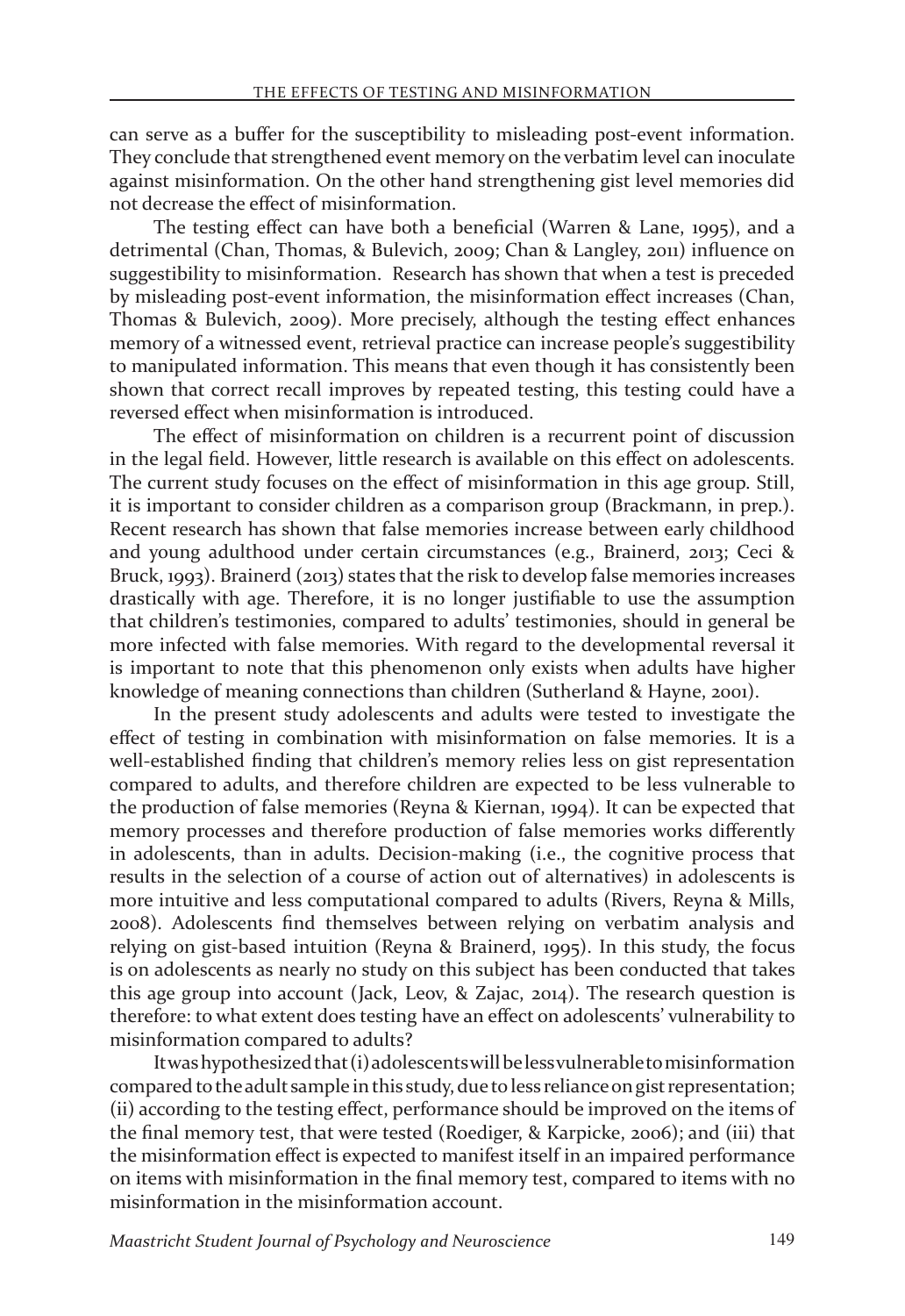can serve as a buffer for the susceptibility to misleading post-event information. They conclude that strengthened event memory on the verbatim level can inoculate against misinformation. On the other hand strengthening gist level memories did not decrease the effect of misinformation.

The testing effect can have both a beneficial (Warren & Lane, 1995), and a detrimental (Chan, Thomas, & Bulevich, 2009; Chan & Langley, 2011) influence on suggestibility to misinformation. Research has shown that when a test is preceded by misleading post-event information, the misinformation effect increases (Chan, Thomas & Bulevich, 2009). More precisely, although the testing effect enhances memory of a witnessed event, retrieval practice can increase people's suggestibility to manipulated information. This means that even though it has consistently been shown that correct recall improves by repeated testing, this testing could have a reversed effect when misinformation is introduced.

The effect of misinformation on children is a recurrent point of discussion in the legal field. However, little research is available on this effect on adolescents. The current study focuses on the effect of misinformation in this age group. Still, it is important to consider children as a comparison group (Brackmann, in prep.). Recent research has shown that false memories increase between early childhood and young adulthood under certain circumstances (e.g., Brainerd, 2013; Ceci & Bruck, 1993). Brainerd (2013) states that the risk to develop false memories increases drastically with age. Therefore, it is no longer justifiable to use the assumption that children's testimonies, compared to adults' testimonies, should in general be more infected with false memories. With regard to the developmental reversal it is important to note that this phenomenon only exists when adults have higher knowledge of meaning connections than children (Sutherland & Hayne, 2001).

In the present study adolescents and adults were tested to investigate the effect of testing in combination with misinformation on false memories. It is a well-established finding that children's memory relies less on gist representation compared to adults, and therefore children are expected to be less vulnerable to the production of false memories (Reyna & Kiernan, 1994). It can be expected that memory processes and therefore production of false memories works differently in adolescents, than in adults. Decision-making (i.e., the cognitive process that results in the selection of a course of action out of alternatives) in adolescents is more intuitive and less computational compared to adults (Rivers, Reyna & Mills, 2008). Adolescents find themselves between relying on verbatim analysis and relying on gist-based intuition (Reyna & Brainerd, 1995). In this study, the focus is on adolescents as nearly no study on this subject has been conducted that takes this age group into account (Jack, Leov, & Zajac, 2014). The research question is therefore: to what extent does testing have an effect on adolescents' vulnerability to misinformation compared to adults?

It was hypothesized that (i) adolescents will be less vulnerable to misinformation compared to the adult sample in this study, due to less reliance on gist representation; (ii) according to the testing effect, performance should be improved on the items of the final memory test, that were tested (Roediger, & Karpicke, 2006); and (iii) that the misinformation effect is expected to manifest itself in an impaired performance on items with misinformation in the final memory test, compared to items with no misinformation in the misinformation account.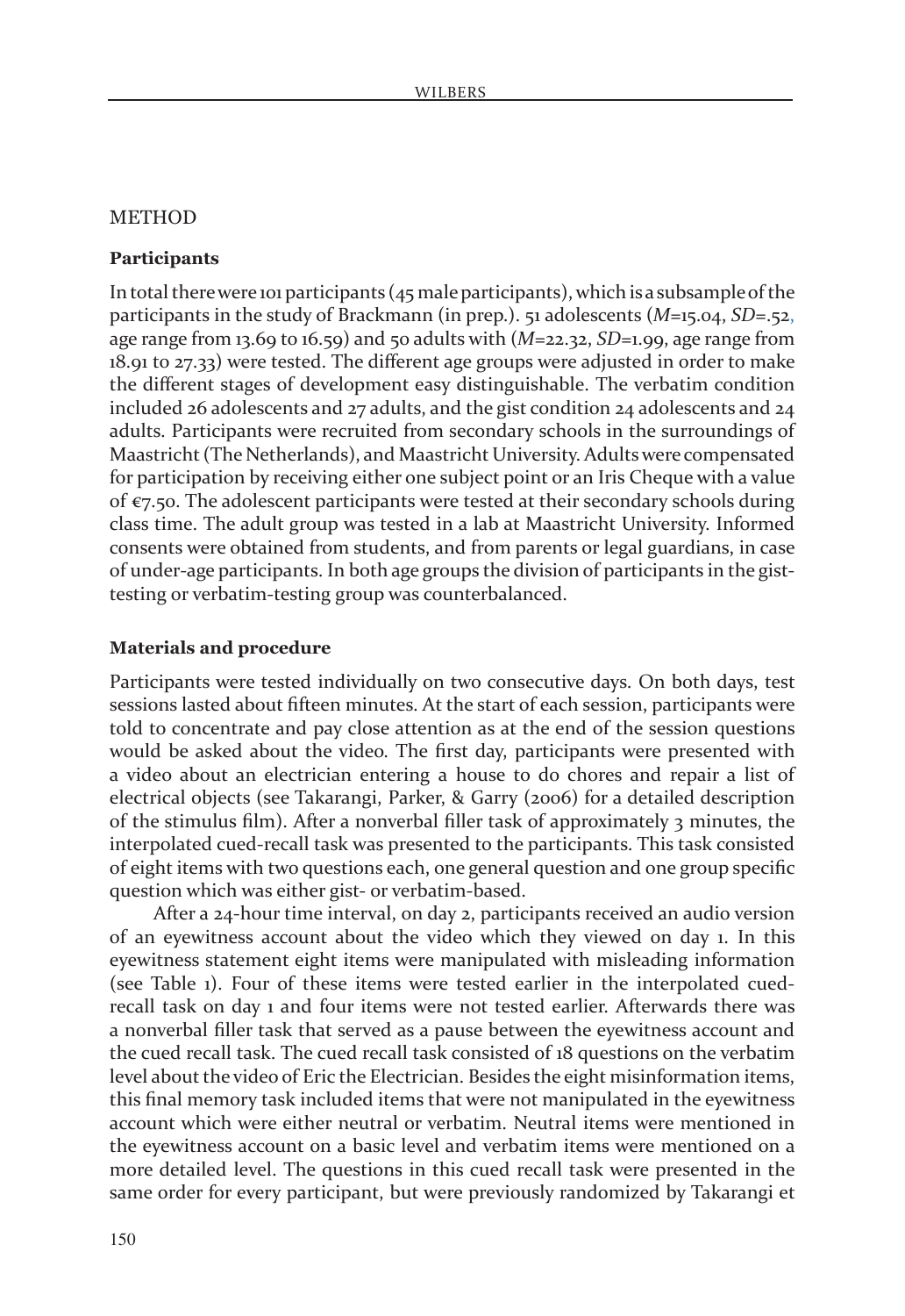#### **METHOD**

#### **Participants**

In total there were 101 participants  $(45$  male participants), which is a subsample of the participants in the study of Brackmann (in prep.). 51 adolescents (*M*=15.04, *SD*=.52, age range from 13.69 to 16.59) and 50 adults with (*M*=22.32, *SD*=1.99, age range from 18.91 to 27.33) were tested. The different age groups were adjusted in order to make the different stages of development easy distinguishable. The verbatim condition included 26 adolescents and 27 adults, and the gist condition 24 adolescents and 24 adults. Participants were recruited from secondary schools in the surroundings of Maastricht (The Netherlands), and Maastricht University. Adults were compensated for participation by receiving either one subject point or an Iris Cheque with a value of  $\epsilon$ 7.50. The adolescent participants were tested at their secondary schools during class time. The adult group was tested in a lab at Maastricht University. Informed consents were obtained from students, and from parents or legal guardians, in case of under-age participants. In both age groups the division of participants in the gisttesting or verbatim-testing group was counterbalanced.

#### **Materials and procedure**

Participants were tested individually on two consecutive days. On both days, test sessions lasted about fifteen minutes. At the start of each session, participants were told to concentrate and pay close attention as at the end of the session questions would be asked about the video. The first day, participants were presented with a video about an electrician entering a house to do chores and repair a list of electrical objects (see Takarangi, Parker, & Garry (2006) for a detailed description of the stimulus film). After a nonverbal filler task of approximately 3 minutes, the interpolated cued-recall task was presented to the participants. This task consisted of eight items with two questions each, one general question and one group specific question which was either gist- or verbatim-based.

After a 24-hour time interval, on day 2, participants received an audio version of an eyewitness account about the video which they viewed on day 1. In this eyewitness statement eight items were manipulated with misleading information (see Table 1). Four of these items were tested earlier in the interpolated cuedrecall task on day 1 and four items were not tested earlier. Afterwards there was a nonverbal filler task that served as a pause between the eyewitness account and the cued recall task. The cued recall task consisted of 18 questions on the verbatim level about the video of Eric the Electrician. Besides the eight misinformation items, this final memory task included items that were not manipulated in the eyewitness account which were either neutral or verbatim. Neutral items were mentioned in the eyewitness account on a basic level and verbatim items were mentioned on a more detailed level. The questions in this cued recall task were presented in the same order for every participant, but were previously randomized by Takarangi et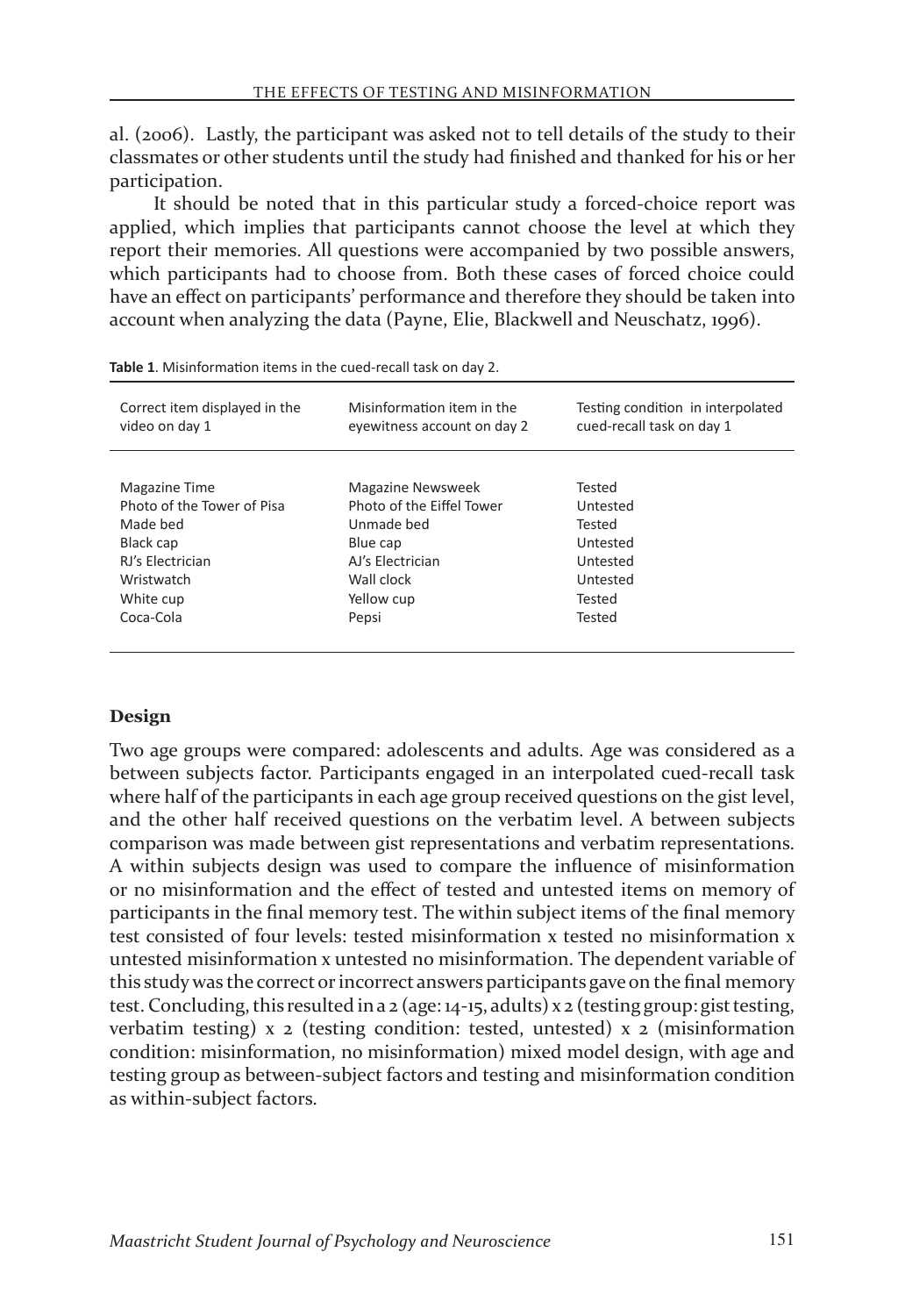al. (2006). Lastly, the participant was asked not to tell details of the study to their classmates or other students until the study had finished and thanked for his or her participation.

It should be noted that in this particular study a forced-choice report was applied, which implies that participants cannot choose the level at which they report their memories. All questions were accompanied by two possible answers, which participants had to choose from. Both these cases of forced choice could have an effect on participants' performance and therefore they should be taken into account when analyzing the data (Payne, Elie, Blackwell and Neuschatz, 1996).

| Misinformation item in the<br>eyewitness account on day 2                                                                       | Testing condition in interpolated<br>cued-recall task on day 1                       |  |  |
|---------------------------------------------------------------------------------------------------------------------------------|--------------------------------------------------------------------------------------|--|--|
| <b>Magazine Newsweek</b><br>Photo of the Eiffel Tower<br>Unmade hed<br>Blue cap<br>AJ's Electrician<br>Wall clock<br>Yellow cup | Tested<br>Untested<br>Tested<br>Untested<br>Untested<br>Untested<br>Tested<br>Tested |  |  |
|                                                                                                                                 | Pepsi                                                                                |  |  |

| Table 1. Misinformation items in the cued-recall task on day 2. |  |
|-----------------------------------------------------------------|--|
|-----------------------------------------------------------------|--|

#### **Design**

Two age groups were compared: adolescents and adults. Age was considered as a between subjects factor. Participants engaged in an interpolated cued-recall task where half of the participants in each age group received questions on the gist level, and the other half received questions on the verbatim level. A between subjects comparison was made between gist representations and verbatim representations. A within subjects design was used to compare the influence of misinformation or no misinformation and the effect of tested and untested items on memory of participants in the final memory test. The within subject items of the final memory test consisted of four levels: tested misinformation x tested no misinformation x untested misinformation x untested no misinformation. The dependent variable of this study was the correct or incorrect answers participants gave on the final memory test. Concluding, this resulted in a  $2$  (age: 14-15, adults)  $x_2$  (testing group: gist testing, verbatim testing) x 2 (testing condition: tested, untested) x 2 (misinformation condition: misinformation, no misinformation) mixed model design, with age and testing group as between-subject factors and testing and misinformation condition as within-subject factors.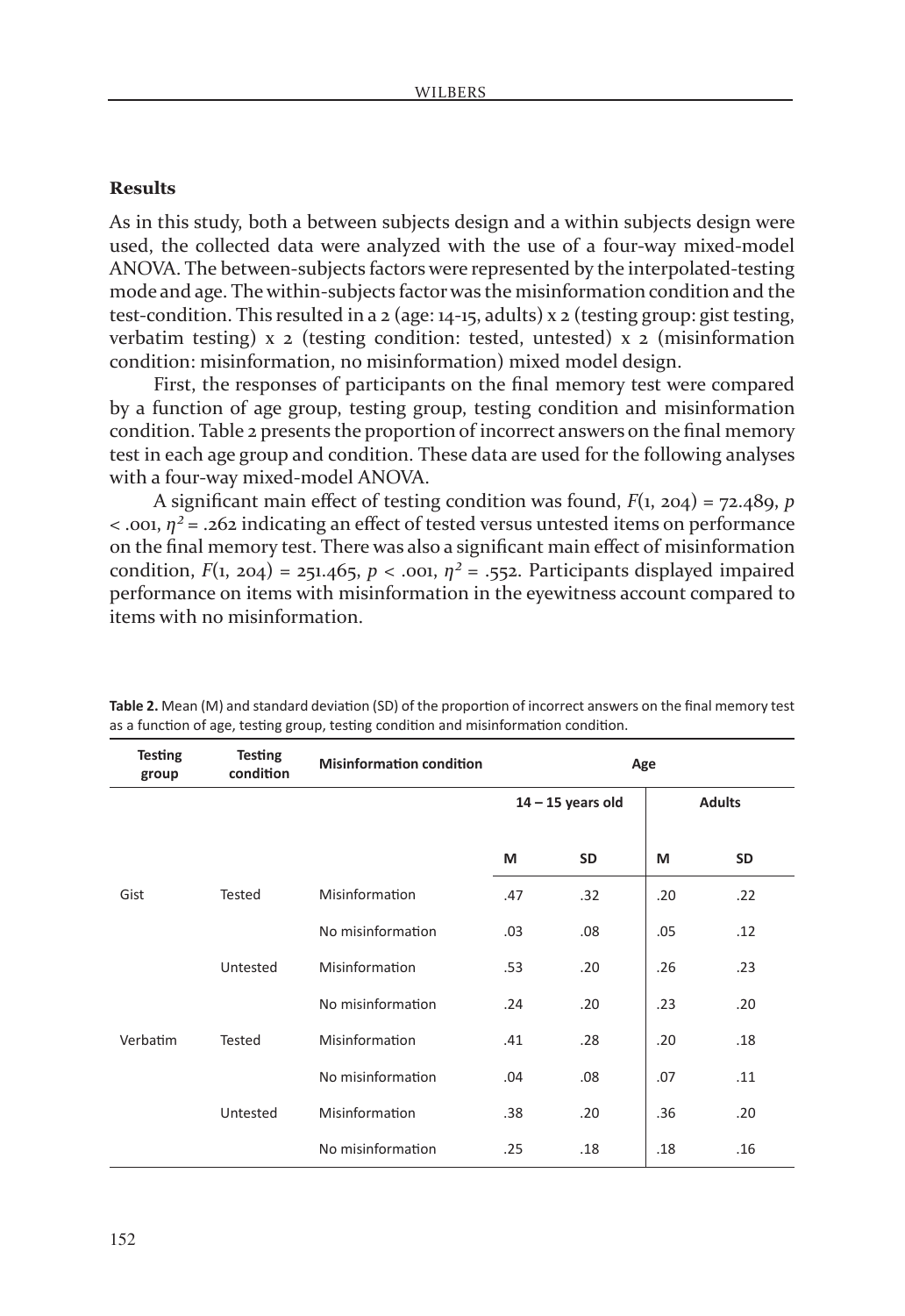#### **Results**

As in this study, both a between subjects design and a within subjects design were used, the collected data were analyzed with the use of a four-way mixed-model ANOVA. The between-subjects factors were represented by the interpolated-testing mode and age. The within-subjects factor was the misinformation condition and the test-condition. This resulted in a 2 (age: 14-15, adults) x 2 (testing group: gist testing, verbatim testing) x 2 (testing condition: tested, untested) x 2 (misinformation condition: misinformation, no misinformation) mixed model design.

First, the responses of participants on the final memory test were compared by a function of age group, testing group, testing condition and misinformation condition. Table 2 presents the proportion of incorrect answers on the final memory test in each age group and condition. These data are used for the following analyses with a four-way mixed-model ANOVA.

A significant main effect of testing condition was found, *F*(1, 204) = 72.489, *p*  $\lt$  .001,  $\eta^2$  = .262 indicating an effect of tested versus untested items on performance on the final memory test. There was also a significant main effect of misinformation condition,  $F(1, 204) = 251.465$ ,  $p < .001$ ,  $\eta^2 = .552$ . Participants displayed impaired performance on items with misinformation in the eyewitness account compared to items with no misinformation.

| <b>Testing</b><br>group | <b>Testing</b><br>condition | <b>Misinformation condition</b> | Age                 |     |               |     |
|-------------------------|-----------------------------|---------------------------------|---------------------|-----|---------------|-----|
|                         |                             |                                 | $14 - 15$ years old |     | <b>Adults</b> |     |
|                         |                             |                                 | M                   | SD  | M             | SD  |
| Gist                    | Tested                      | Misinformation                  | .47                 | .32 | .20           | .22 |
|                         |                             | No misinformation               | .03                 | .08 | .05           | .12 |
|                         | Untested                    | Misinformation                  | .53                 | .20 | .26           | .23 |
|                         |                             | No misinformation               | .24                 | .20 | .23           | .20 |
| Verbatim                | <b>Tested</b>               | Misinformation                  | .41                 | .28 | .20           | .18 |
|                         |                             | No misinformation               | .04                 | .08 | .07           | .11 |
|                         | Untested                    | Misinformation                  | .38                 | .20 | .36           | .20 |
|                         |                             | No misinformation               | .25                 | .18 | .18           | .16 |

**Table 2.** Mean (M) and standard deviation (SD) of the proportion of incorrect answers on the final memory test as a function of age, testing group, testing condition and misinformation condition.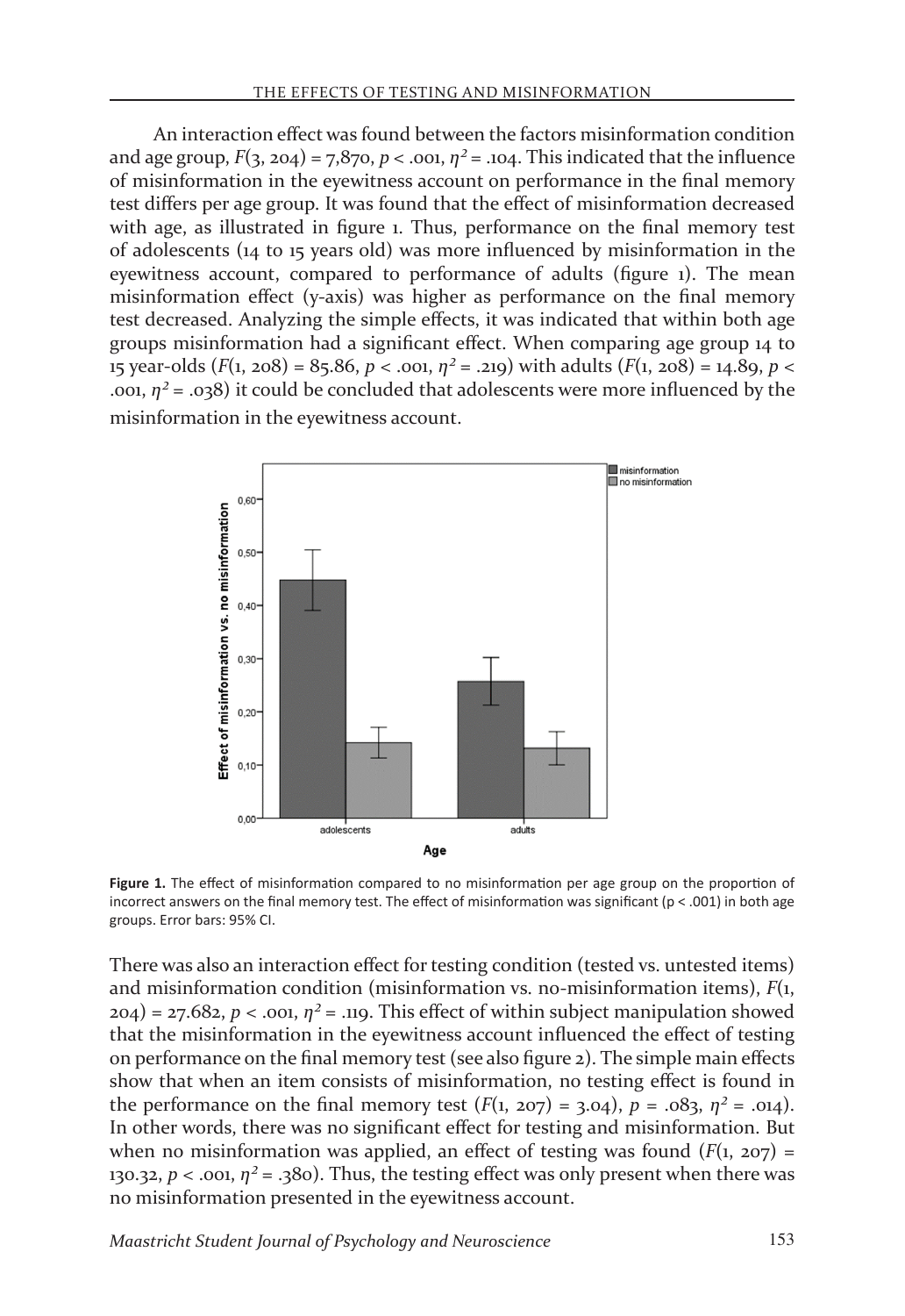An interaction effect was found between the factors misinformation condition and age group,  $F(3, 204) = 7,870, p < .001, \eta^2 = .104$ . This indicated that the influence of misinformation in the eyewitness account on performance in the final memory test differs per age group. It was found that the effect of misinformation decreased with age, as illustrated in figure 1. Thus, performance on the final memory test of adolescents (14 to 15 years old) was more influenced by misinformation in the eyewitness account, compared to performance of adults (figure 1). The mean misinformation effect (y-axis) was higher as performance on the final memory test decreased. Analyzing the simple effects, it was indicated that within both age groups misinformation had a significant effect. When comparing age group 14 to 15 year-olds  $(F(1, 208) = 85.86, p < .001, \eta^2 = .219)$  with adults  $(F(1, 208) = 14.89, p < .001, \eta^2 = .219)$ .001,  $n^2$  = .038) it could be concluded that adolescents were more influenced by the misinformation in the eyewitness account.



Figure 1. The effect of misinformation compared to no misinformation per age group on the proportion of incorrect answers on the final memory test. The effect of misinformation was significant ( $p < .001$ ) in both age groups. Error bars: 95% CI.

There was also an interaction effect for testing condition (tested vs. untested items) and misinformation condition (misinformation vs. no-misinformation items), *F*(1,  $204$ ) = 27.682, *p* < .001,  $n^2$  = .119. This effect of within subject manipulation showed that the misinformation in the eyewitness account influenced the effect of testing on performance on the final memory test (see also figure 2). The simple main effects show that when an item consists of misinformation, no testing effect is found in the performance on the final memory test  $(F(1, 207) = 3.04)$ ,  $p = .083$ ,  $\eta^2 = .014$ ). In other words, there was no significant effect for testing and misinformation. But when no misinformation was applied, an effect of testing was found  $(F(1, 207)$  = 130.32,  $p <$  .001,  $\eta^2$  = .380). Thus, the testing effect was only present when there was no misinformation presented in the eyewitness account.

*Maastricht Student Journal of Psychology and Neuroscience* 153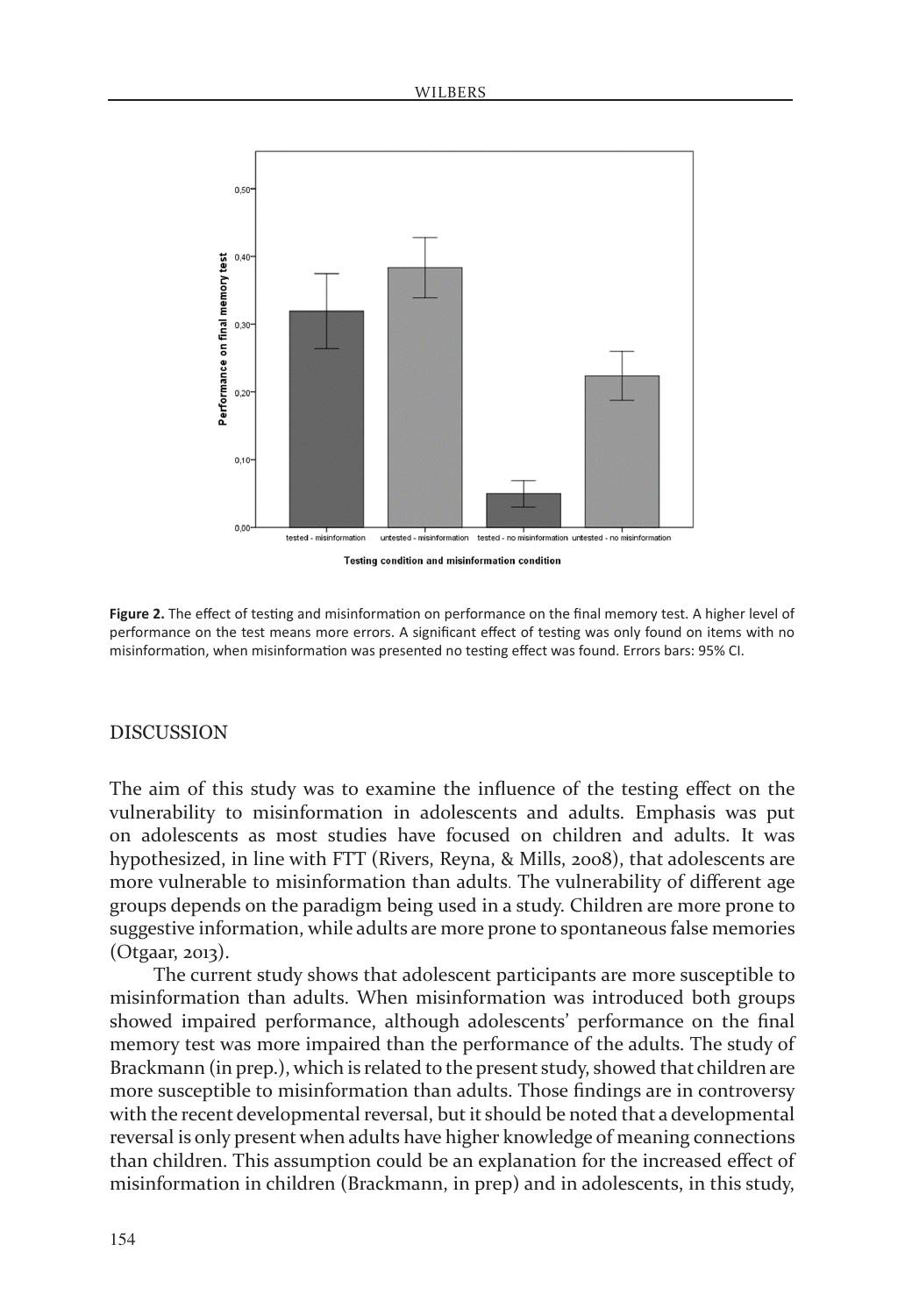

**Figure 2.** The effect of testing and misinformation on performance on the final memory test. A higher level of performance on the test means more errors. A significant effect of testing was only found on items with no misinformation, when misinformation was presented no testing effect was found. Errors bars: 95% CI.

### **DISCUSSION**

The aim of this study was to examine the influence of the testing effect on the vulnerability to misinformation in adolescents and adults. Emphasis was put on adolescents as most studies have focused on children and adults. It was hypothesized, in line with FTT (Rivers, Reyna, & Mills, 2008), that adolescents are more vulnerable to misinformation than adults. The vulnerability of different age groups depends on the paradigm being used in a study. Children are more prone to suggestive information, while adults are more prone to spontaneous false memories (Otgaar, 2013).

The current study shows that adolescent participants are more susceptible to misinformation than adults. When misinformation was introduced both groups showed impaired performance, although adolescents' performance on the final memory test was more impaired than the performance of the adults. The study of Brackmann (in prep.), which is related to the present study, showed that children are more susceptible to misinformation than adults. Those findings are in controversy with the recent developmental reversal, but it should be noted that a developmental reversal is only present when adults have higher knowledge of meaning connections than children. This assumption could be an explanation for the increased effect of misinformation in children (Brackmann, in prep) and in adolescents, in this study,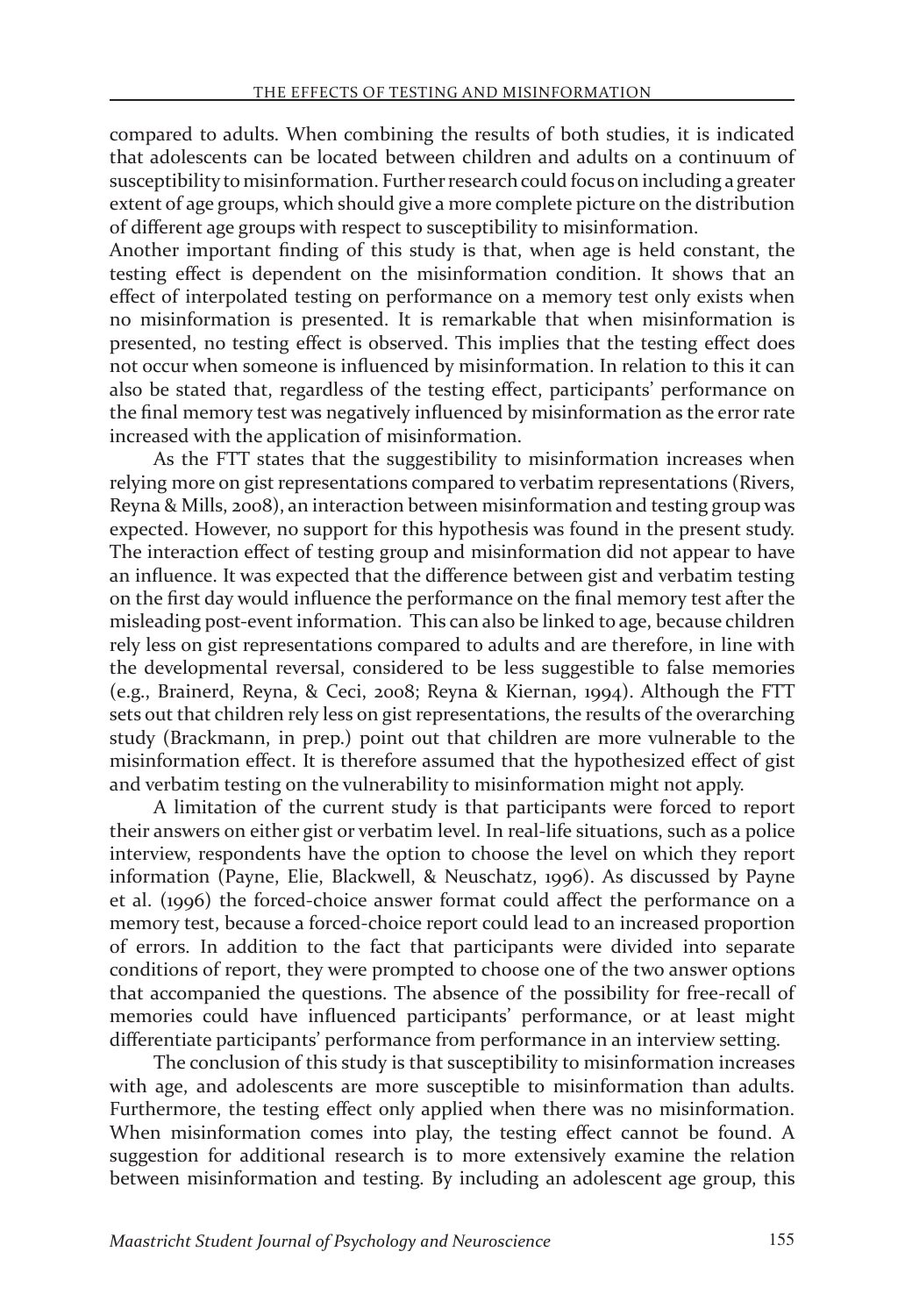compared to adults. When combining the results of both studies, it is indicated that adolescents can be located between children and adults on a continuum of susceptibility to misinformation. Further research could focus on including a greater extent of age groups, which should give a more complete picture on the distribution of different age groups with respect to susceptibility to misinformation.

Another important finding of this study is that, when age is held constant, the testing effect is dependent on the misinformation condition. It shows that an effect of interpolated testing on performance on a memory test only exists when no misinformation is presented. It is remarkable that when misinformation is presented, no testing effect is observed. This implies that the testing effect does not occur when someone is influenced by misinformation. In relation to this it can also be stated that, regardless of the testing effect, participants' performance on the final memory test was negatively influenced by misinformation as the error rate increased with the application of misinformation.

As the FTT states that the suggestibility to misinformation increases when relying more on gist representations compared to verbatim representations (Rivers, Reyna & Mills, 2008), an interaction between misinformation and testing group was expected. However, no support for this hypothesis was found in the present study. The interaction effect of testing group and misinformation did not appear to have an influence. It was expected that the difference between gist and verbatim testing on the first day would influence the performance on the final memory test after the misleading post-event information. This can also be linked to age, because children rely less on gist representations compared to adults and are therefore, in line with the developmental reversal, considered to be less suggestible to false memories (e.g., Brainerd, Reyna, & Ceci, 2008; Reyna & Kiernan, 1994). Although the FTT sets out that children rely less on gist representations, the results of the overarching study (Brackmann, in prep.) point out that children are more vulnerable to the misinformation effect. It is therefore assumed that the hypothesized effect of gist and verbatim testing on the vulnerability to misinformation might not apply.

A limitation of the current study is that participants were forced to report their answers on either gist or verbatim level. In real-life situations, such as a police interview, respondents have the option to choose the level on which they report information (Payne, Elie, Blackwell, & Neuschatz, 1996). As discussed by Payne et al. (1996) the forced-choice answer format could affect the performance on a memory test, because a forced-choice report could lead to an increased proportion of errors. In addition to the fact that participants were divided into separate conditions of report, they were prompted to choose one of the two answer options that accompanied the questions. The absence of the possibility for free-recall of memories could have influenced participants' performance, or at least might differentiate participants' performance from performance in an interview setting.

The conclusion of this study is that susceptibility to misinformation increases with age, and adolescents are more susceptible to misinformation than adults. Furthermore, the testing effect only applied when there was no misinformation. When misinformation comes into play, the testing effect cannot be found. A suggestion for additional research is to more extensively examine the relation between misinformation and testing. By including an adolescent age group, this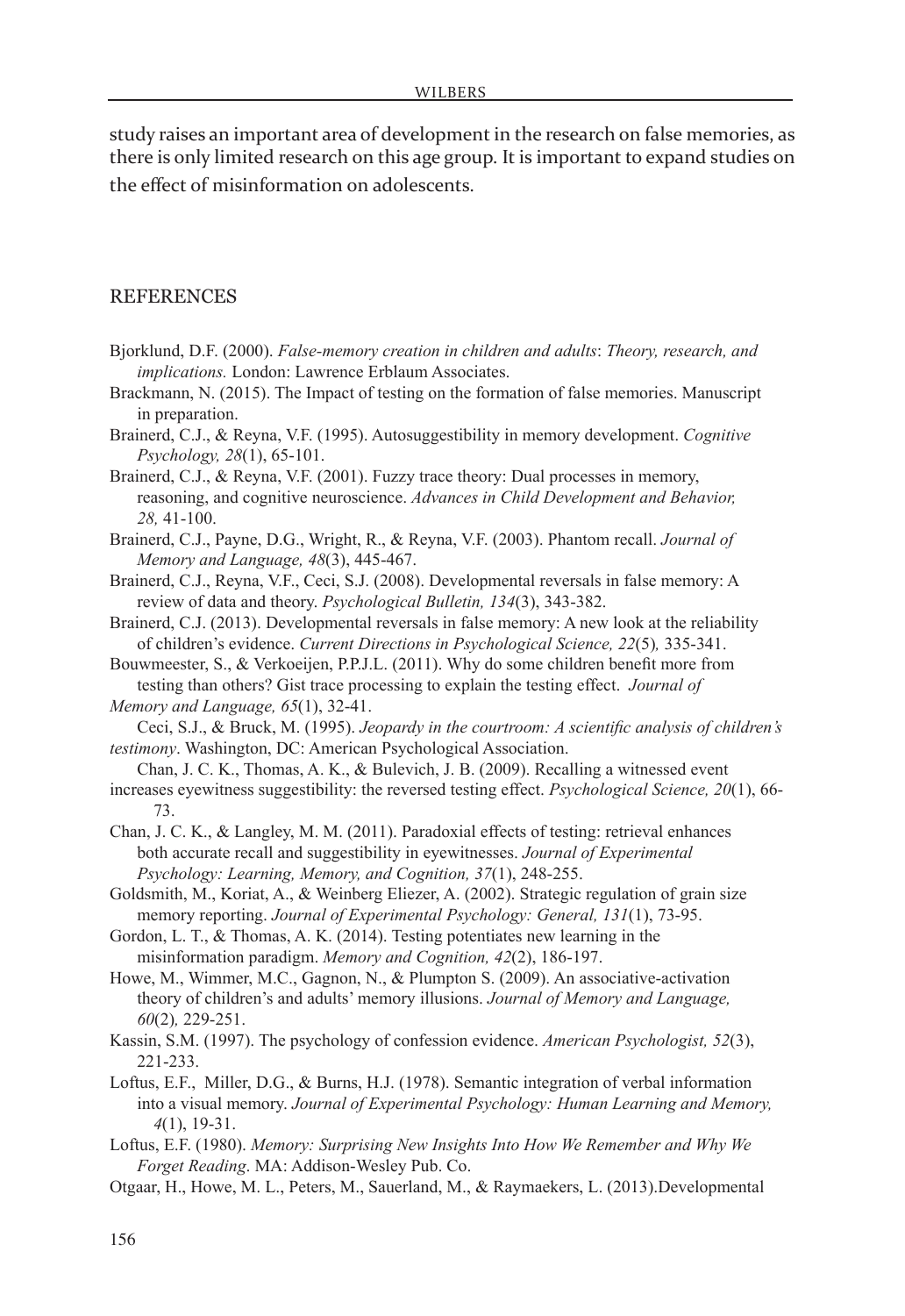study raises an important area of development in the research on false memories, as there is only limited research on this age group. It is important to expand studies on the effect of misinformation on adolescents.

#### **REFERENCES**

Bjorklund, D.F. (2000). *False-memory creation in children and adults*: *Theory, research, and implications.* London: Lawrence Erblaum Associates.

Brackmann, N. (2015). The Impact of testing on the formation of false memories. Manuscript in preparation.

Brainerd, C.J., & Reyna, V.F. (1995). Autosuggestibility in memory development. *Cognitive Psychology, 28*(1), 65-101.

Brainerd, C.J., & Reyna, V.F. (2001). Fuzzy trace theory: Dual processes in memory, reasoning, and cognitive neuroscience. *Advances in Child Development and Behavior, 28,* 41-100.

Brainerd, C.J., Payne, D.G., Wright, R., & Reyna, V.F. (2003). Phantom recall. *Journal of Memory and Language, 48*(3), 445-467.

Brainerd, C.J., Reyna, V.F., Ceci, S.J. (2008). Developmental reversals in false memory: A review of data and theory. *Psychological Bulletin, 134*(3), 343-382.

Brainerd, C.J. (2013). Developmental reversals in false memory: A new look at the reliability of children's evidence. *Current Directions in Psychological Science, 22*(5)*,* 335-341.

Bouwmeester, S., & Verkoeijen, P.P.J.L. (2011). Why do some children benefit more from testing than others? Gist trace processing to explain the testing effect. *Journal of Memory and Language, 65*(1), 32-41.

Ceci, S.J., & Bruck, M. (1995). *Jeopardy in the courtroom: A scientific analysis of children's testimony*. Washington, DC: American Psychological Association.

- Chan, J. C. K., Thomas, A. K., & Bulevich, J. B. (2009). Recalling a witnessed event increases eyewitness suggestibility: the reversed testing effect. *Psychological Science, 20*(1), 66- 73.
- Chan, J. C. K., & Langley, M. M. (2011). Paradoxial effects of testing: retrieval enhances both accurate recall and suggestibility in eyewitnesses. *Journal of Experimental Psychology: Learning, Memory, and Cognition, 37*(1), 248-255.
- Goldsmith, M., Koriat, A., & Weinberg Eliezer, A. (2002). Strategic regulation of grain size memory reporting. *Journal of Experimental Psychology: General, 131*(1), 73-95.
- Gordon, L. T., & Thomas, A. K. (2014). Testing potentiates new learning in the misinformation paradigm. *Memory and Cognition, 42*(2), 186-197.
- Howe, M., Wimmer, M.C., Gagnon, N., & Plumpton S. (2009). An associative-activation theory of children's and adults' memory illusions. *Journal of Memory and Language, 60*(2)*,* 229-251.
- Kassin, S.M. (1997). The psychology of confession evidence. *American Psychologist, 52*(3), 221-233.
- Loftus, E.F., Miller, D.G., & Burns, H.J. (1978). Semantic integration of verbal information into a visual memory. *Journal of Experimental Psychology: Human Learning and Memory, 4*(1), 19-31.

Loftus, E.F. (1980). *Memory: Surprising New Insights Into How We Remember and Why We Forget Reading*. MA: Addison-Wesley Pub. Co.

Otgaar, H., Howe, M. L., Peters, M., Sauerland, M., & Raymaekers, L. (2013).Developmental